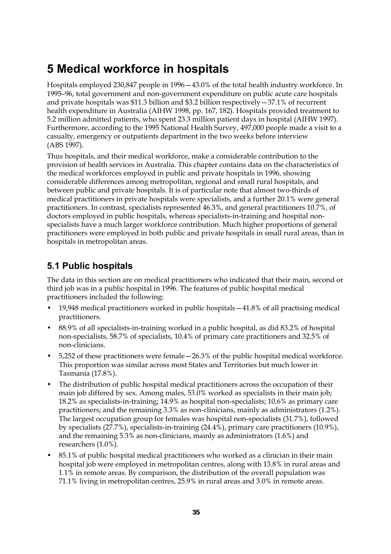## **5 Medical workforce in hospitals**

Hospitals employed 230,847 people in 1996—43.0% of the total health industry workforce. In 1995–96, total government and non-government expenditure on public acute care hospitals and private hospitals was  $$11.3$  billion and  $$3.2$  billion respectively  $-37.1\%$  of recurrent health expenditure in Australia (AIHW 1998, pp. 167, 182). Hospitals provided treatment to 5.2 million admitted patients, who spent 23.3 million patient days in hospital (AIHW 1997). Furthermore, according to the 1995 National Health Survey, 497,000 people made a visit to a casualty, emergency or outpatients department in the two weeks before interview (ABS 1997).

Thus hospitals, and their medical workforce, make a considerable contribution to the provision of health services in Australia. This chapter contains data on the characteristics of the medical workforces employed in public and private hospitals in 1996, showing considerable differences among metropolitan, regional and small rural hospitals, and between public and private hospitals. It is of particular note that almost two-thirds of medical practitioners in private hospitals were specialists, and a further 20.1% were general practitioners. In contrast, specialists represented 46.3%, and general practitioners 10.7%, of doctors employed in public hospitals, whereas specialists-in-training and hospital nonspecialists have a much larger workforce contribution. Much higher proportions of general practitioners were employed in both public and private hospitals in small rural areas, than in hospitals in metropolitan areas.

## **5.1 Public hospitals**

The data in this section are on medical practitioners who indicated that their main, second or third job was in a public hospital in 1996. The features of public hospital medical practitioners included the following:

- 19,948 medical practitioners worked in public hospitals—41.8% of all practising medical practitioners.
- 88.9% of all specialists-in-training worked in a public hospital, as did 83.2% of hospital non-specialists, 58.7% of specialists, 10.4% of primary care practitioners and 32.5% of non-clinicians.
- 5,252 of these practitioners were female—26.3% of the public hospital medical workforce. This proportion was similar across most States and Territories but much lower in Tasmania (17.8%).
- The distribution of public hospital medical practitioners across the occupation of their main job differed by sex. Among males, 53.0% worked as specialists in their main job; 18.2% as specialists-in-training; 14.9% as hospital non-specialists; 10.6% as primary care practitioners; and the remaining 3.3% as non-clinicians, mainly as administrators (1.2%). The largest occupation group for females was hospital non-specialists (31.7%), followed by specialists (27.7%), specialists-in-training (24.4%), primary care practitioners (10.9%), and the remaining 5.3% as non-clinicians, mainly as administrators (1.6%) and researchers (1.0%).
- 85.1% of public hospital medical practitioners who worked as a clinician in their main hospital job were employed in metropolitan centres, along with 13.8% in rural areas and 1.1% in remote areas. By comparison, the distribution of the overall population was 71.1% living in metropolitan centres, 25.9% in rural areas and 3.0% in remote areas.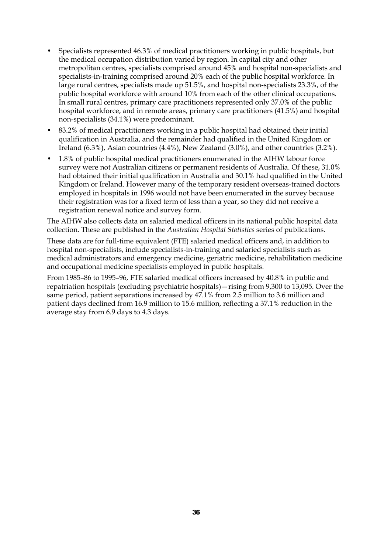- Specialists represented 46.3% of medical practitioners working in public hospitals, but the medical occupation distribution varied by region. In capital city and other metropolitan centres, specialists comprised around 45% and hospital non-specialists and specialists-in-training comprised around 20% each of the public hospital workforce. In large rural centres, specialists made up 51.5%, and hospital non-specialists 23.3%, of the public hospital workforce with around 10% from each of the other clinical occupations. In small rural centres, primary care practitioners represented only 37.0% of the public hospital workforce, and in remote areas, primary care practitioners (41.5%) and hospital non-specialists (34.1%) were predominant.
- 83.2% of medical practitioners working in a public hospital had obtained their initial qualification in Australia, and the remainder had qualified in the United Kingdom or Ireland (6.3%), Asian countries (4.4%), New Zealand (3.0%), and other countries (3.2%).
- 1.8% of public hospital medical practitioners enumerated in the AIHW labour force survey were not Australian citizens or permanent residents of Australia. Of these, 31.0% had obtained their initial qualification in Australia and 30.1% had qualified in the United Kingdom or Ireland. However many of the temporary resident overseas-trained doctors employed in hospitals in 1996 would not have been enumerated in the survey because their registration was for a fixed term of less than a year, so they did not receive a registration renewal notice and survey form.

The AIHW also collects data on salaried medical officers in its national public hospital data collection. These are published in the *Australian Hospital Statistics* series of publications.

These data are for full-time equivalent (FTE) salaried medical officers and, in addition to hospital non-specialists, include specialists-in-training and salaried specialists such as medical administrators and emergency medicine, geriatric medicine, rehabilitation medicine and occupational medicine specialists employed in public hospitals.

From 1985–86 to 1995–96, FTE salaried medical officers increased by 40.8% in public and repatriation hospitals (excluding psychiatric hospitals)—rising from 9,300 to 13,095. Over the same period, patient separations increased by 47.1% from 2.5 million to 3.6 million and patient days declined from 16.9 million to 15.6 million, reflecting a 37.1% reduction in the average stay from 6.9 days to 4.3 days.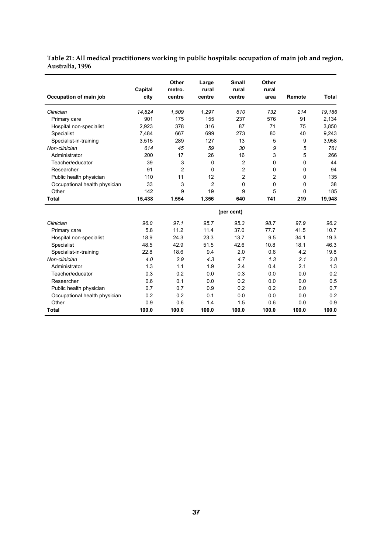| Table 21: All medical practitioners working in public hospitals: occupation of main job and region, |  |  |
|-----------------------------------------------------------------------------------------------------|--|--|
| Australia, 1996                                                                                     |  |  |

| Occupation of main job        | Capital<br>city | <b>Other</b><br>metro.<br>centre | Large<br>rural<br>centre | <b>Small</b><br>rural<br>centre | Other<br>rural<br>area | Remote | Total  |
|-------------------------------|-----------------|----------------------------------|--------------------------|---------------------------------|------------------------|--------|--------|
| Clinician                     | 14,824          | 1,509                            | 1.297                    | 610                             | 732                    | 214    | 19,186 |
| Primary care                  | 901             | 175                              | 155                      | 237                             | 576                    | 91     | 2,134  |
| Hospital non-specialist       | 2,923           | 378                              | 316                      | 87                              | 71                     | 75     | 3,850  |
| Specialist                    | 7,484           | 667                              | 699                      | 273                             | 80                     | 40     | 9,243  |
| Specialist-in-training        | 3,515           | 289                              | 127                      | 13                              | 5                      | 9      | 3,958  |
| Non-clinician                 | 614             | 45                               | 59                       | 30                              | 9                      | 5      | 761    |
| Administrator                 | 200             | 17                               | 26                       | 16                              | 3                      | 5      | 266    |
| Teacher/educator              | 39              | 3                                | 0                        | 2                               | 0                      | 0      | 44     |
| Researcher                    | 91              | $\overline{2}$                   | $\Omega$                 | $\overline{2}$                  | 0                      | 0      | 94     |
| Public health physician       | 110             | 11                               | 12                       | $\overline{2}$                  | $\overline{2}$         | 0      | 135    |
| Occupational health physician | 33              | 3                                | $\overline{2}$           | $\mathbf 0$                     | 0                      | 0      | 38     |
| Other                         | 142             | 9                                | 19                       | 9                               | 5                      | 0      | 185    |
| <b>Total</b>                  | 15,438          | 1,554                            | 1,356                    | 640                             | 741                    | 219    | 19,948 |
|                               |                 |                                  |                          | (per cent)                      |                        |        |        |
| Clinician                     | 96.0            | 97.1                             | 95.7                     | 95.3                            | 98.7                   | 97.9   | 96.2   |
| Primary care                  | 5.8             | 11.2                             | 11.4                     | 37.0                            | 77.7                   | 41.5   | 10.7   |
| Hospital non-specialist       | 18.9            | 24.3                             | 23.3                     | 13.7                            | 9.5                    | 34.1   | 19.3   |
| Specialist                    | 48.5            | 42.9                             | 51.5                     | 42.6                            | 10.8                   | 18.1   | 46.3   |
| Specialist-in-training        | 22.8            | 18.6                             | 9.4                      | 2.0                             | 0.6                    | 4.2    | 19.8   |
| Non-clinician                 | 4.0             | 2.9                              | 4.3                      | 4.7                             | 1.3                    | 2.1    | 3.8    |
| Administrator                 | 1.3             | 1.1                              | 1.9                      | 2.4                             | 0.4                    | 2.1    | 1.3    |
| Teacher/educator              | 0.3             | 0.2                              | 0.0                      | 0.3                             | 0.0                    | 0.0    | 0.2    |
| Researcher                    | 0.6             | 0.1                              | 0.0                      | 0.2                             | 0.0                    | 0.0    | 0.5    |
| Public health physician       | 0.7             | 0.7                              | 0.9                      | 0.2                             | 0.2                    | 0.0    | 0.7    |
| Occupational health physician | 0.2             | 0.2                              | 0.1                      | 0.0                             | 0.0                    | 0.0    | 0.2    |
| Other                         | 0.9             | 0.6                              | 1.4                      | 1.5                             | 0.6                    | 0.0    | 0.9    |
| <b>Total</b>                  | 100.0           | 100.0                            | 100.0                    | 100.0                           | 100.0                  | 100.0  | 100.0  |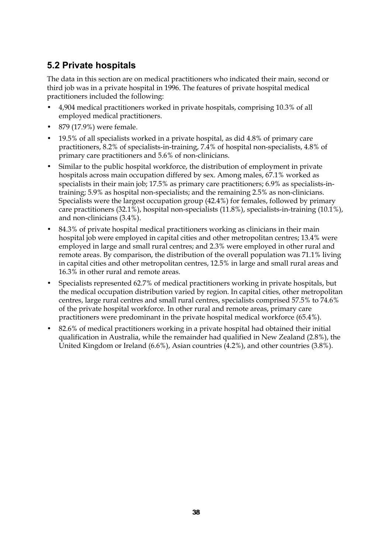## **5.2 Private hospitals**

The data in this section are on medical practitioners who indicated their main, second or third job was in a private hospital in 1996. The features of private hospital medical practitioners included the following:

- 4,904 medical practitioners worked in private hospitals, comprising 10.3% of all employed medical practitioners.
- 879 (17.9%) were female.
- 19.5% of all specialists worked in a private hospital, as did 4.8% of primary care practitioners, 8.2% of specialists-in-training, 7.4% of hospital non-specialists, 4.8% of primary care practitioners and 5.6% of non-clinicians.
- Similar to the public hospital workforce, the distribution of employment in private hospitals across main occupation differed by sex. Among males, 67.1% worked as specialists in their main job; 17.5% as primary care practitioners; 6.9% as specialists-intraining; 5.9% as hospital non-specialists; and the remaining 2.5% as non-clinicians. Specialists were the largest occupation group (42.4%) for females, followed by primary care practitioners (32.1%), hospital non-specialists (11.8%), specialists-in-training (10.1%), and non-clinicians (3.4%).
- 84.3% of private hospital medical practitioners working as clinicians in their main hospital job were employed in capital cities and other metropolitan centres; 13.4% were employed in large and small rural centres; and 2.3% were employed in other rural and remote areas. By comparison, the distribution of the overall population was 71.1% living in capital cities and other metropolitan centres, 12.5% in large and small rural areas and 16.3% in other rural and remote areas.
- Specialists represented 62.7% of medical practitioners working in private hospitals, but the medical occupation distribution varied by region. In capital cities, other metropolitan centres, large rural centres and small rural centres, specialists comprised 57.5% to 74.6% of the private hospital workforce. In other rural and remote areas, primary care practitioners were predominant in the private hospital medical workforce (65.4%).
- 82.6% of medical practitioners working in a private hospital had obtained their initial qualification in Australia, while the remainder had qualified in New Zealand (2.8%), the United Kingdom or Ireland (6.6%), Asian countries (4.2%), and other countries (3.8%).